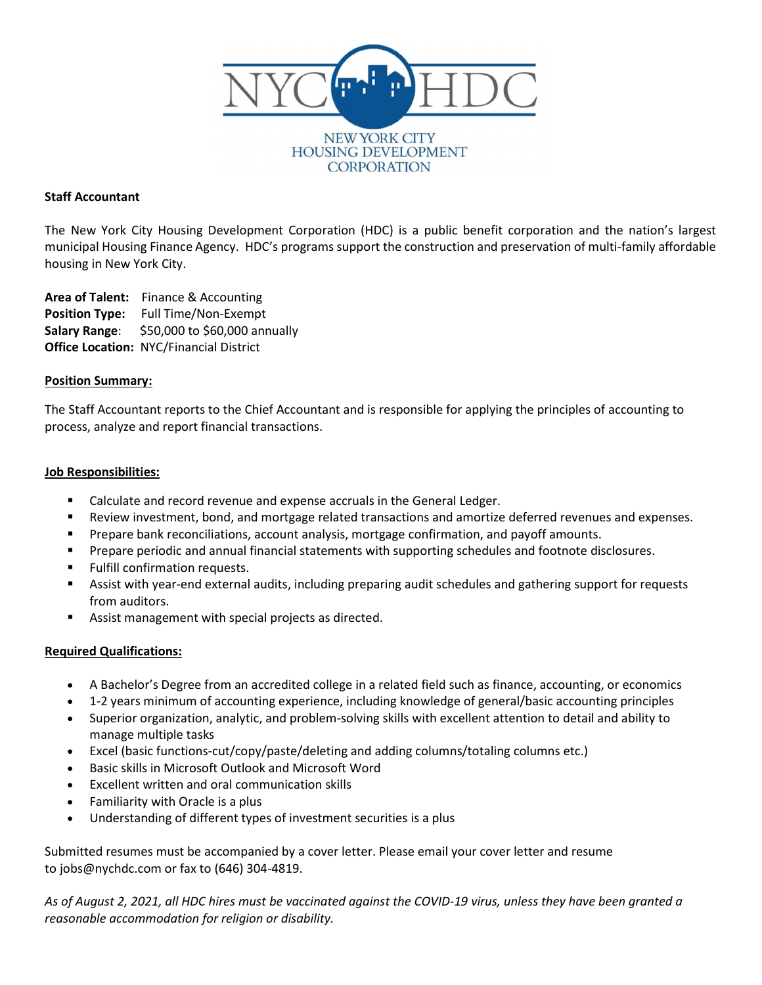

#### **NEW YORK CITY HOUSING DEVELOPMENT CORPORATION**

# Staff Accountant

The New York City Housing Development Corporation (HDC) is a public benefit corporation and the nation's largest municipal Housing Finance Agency. HDC's programs support the construction and preservation of multi-family affordable housing in New York City.

Area of Talent: Finance & Accounting Position Type: Full Time/Non-Exempt Salary Range: \$50,000 to \$60,000 annually Office Location: NYC/Financial District

## Position Summary:

The Staff Accountant reports to the Chief Accountant and is responsible for applying the principles of accounting to process, analyze and report financial transactions.

### Job Responsibilities:

- Calculate and record revenue and expense accruals in the General Ledger.
- Review investment, bond, and mortgage related transactions and amortize deferred revenues and expenses.
- **Prepare bank reconciliations, account analysis, mortgage confirmation, and payoff amounts.**
- Prepare periodic and annual financial statements with supporting schedules and footnote disclosures.
- Fulfill confirmation requests.
- Assist with year-end external audits, including preparing audit schedules and gathering support for requests from auditors.
- Assist management with special projects as directed.

## Required Qualifications:

- A Bachelor's Degree from an accredited college in a related field such as finance, accounting, or economics
- 1-2 years minimum of accounting experience, including knowledge of general/basic accounting principles
- Superior organization, analytic, and problem-solving skills with excellent attention to detail and ability to manage multiple tasks
- Excel (basic functions-cut/copy/paste/deleting and adding columns/totaling columns etc.)
- Basic skills in Microsoft Outlook and Microsoft Word
- Excellent written and oral communication skills
- Familiarity with Oracle is a plus
- Understanding of different types of investment securities is a plus

Submitted resumes must be accompanied by a cover letter. Please email your cover letter and resume to jobs@nychdc.com or fax to (646) 304-4819.

As of August 2, 2021, all HDC hires must be vaccinated against the COVID-19 virus, unless they have been granted a reasonable accommodation for religion or disability.